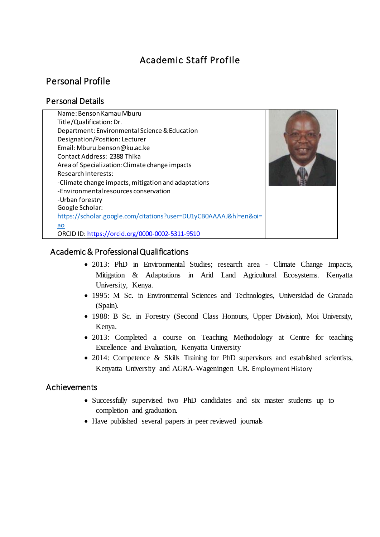# Academic Staff Profile

# Personal Profile

# Personal Details

| Name: Benson Kamau Mburu                                         |  |
|------------------------------------------------------------------|--|
| Title/Qualification: Dr.                                         |  |
| Department: Environmental Science & Education                    |  |
| Designation/Position: Lecturer                                   |  |
| Email: Mburu.benson@ku.ac.ke                                     |  |
| Contact Address: 2388 Thika                                      |  |
| Area of Specialization: Climate change impacts                   |  |
| <b>Research Interests:</b>                                       |  |
| -Climate change impacts, mitigation and adaptations              |  |
| -Environmental resources conservation                            |  |
| -Urban forestry                                                  |  |
| Google Scholar:                                                  |  |
| https://scholar.google.com/citations?user=DU1yCB0AAAAJ&hl=en&oi= |  |
| ao                                                               |  |
| ORCID ID: https://orcid.org/0000-0002-5311-9510                  |  |

## Academic & Professional Qualifications

- 2013: PhD in Environmental Studies; research area Climate Change Impacts, Mitigation & Adaptations in Arid Land Agricultural Ecosystems. Kenyatta University, Kenya.
- 1995: M Sc. in Environmental Sciences and Technologies, Universidad de Granada (Spain).
- 1988: B Sc. in Forestry (Second Class Honours, Upper Division), Moi University, Kenya.
- 2013: Completed a course on Teaching Methodology at Centre for teaching Excellence and Evaluation, Kenyatta University
- 2014: Competence & Skills Training for PhD supervisors and established scientists, Kenyatta University and AGRA-Wageningen UR. Employment History

## Achievements

- Successfully supervised two PhD candidates and six master students up to completion and graduation.
- Have published several papers in peer reviewed journals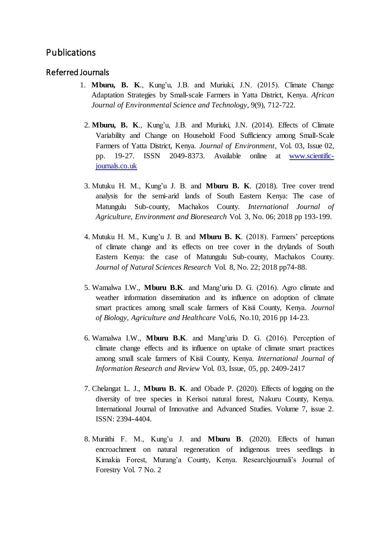# Publications

## Referred Journals

- 1. **Mburu, B. K**., Kung'u, J.B. and Muriuki, J.N. (2015). Climate Change Adaptation Strategies by Small-scale Farmers in Yatta District, Kenya. *African Journal of Environmental Science and Technology*, 9(9), 712-722.
	- 2. **Mburu, B. K**., Kung'u, J.B. and Muriuki, J.N. (2014). Effects of Climate Variability and Change on Household Food Sufficiency among Small-Scale Farmers of Yatta District, Kenya. *Journal of Environment*, Vol. 03, Issue 02, pp. 19-27. ISSN 2049-8373. Available online at [www.scientific](http://www.scientific-journals.co.uk/)[journals.co.uk](http://www.scientific-journals.co.uk/)
	- 3. Mutuku H. M., Kung'u J. B. and **Mburu B. K**. (2018). Tree cover trend analysis for the semi-arid lands of South Eastern Kenya: The case of Matungulu Sub-county, Machakos County. *International Journal of Agriculture, Environment and Bioresearch* Vol. 3, No. 06; 2018 pp 193-199.
	- 4. Mutuku H. M., Kung'u J. B. and **Mburu B. K**. (2018). Farmers' perceptions of climate change and its effects on tree cover in the drylands of South Eastern Kenya: the case of Matungulu Sub-county, Machakos County. *Journal of Natural Sciences Research* Vol. 8, No. 22; 2018 pp74-88.
	- 5. Wamalwa I.W., **Mburu B.K**. and Mang'uriu D. G. (2016). Agro climate and weather information dissemination and its influence on adoption of climate smart practices among small scale farmers of Kisii County, Kenya. *Journal of Biology, Agriculture and Healthcare* Vol.6, No.10, 2016 pp 14-23.
	- 6. Wamalwa I.W., **Mburu B.K**. and Mang'uriu D. G. (2016). Perception of climate change effects and its influence on uptake of climate smart practices among small scale farmers of Kisii County, Kenya. *International Journal of Information Research and Review* Vol. 03, Issue, 05, pp. 2409-2417
	- 7. Chelangat L. J., **Mburu B. K**. and Obade P. (2020). Effects of logging on the diversity of tree species in Kerisoi natural forest, Nakuru County, Kenya. International Journal of Innovative and Advanced Studies. Volume 7, issue 2. ISSN: 2394-4404.
	- 8. Muriithi F. M., Kung'u J. and **Mburu B**. (2020). Effects of human encroachment on natural regeneration of indigenous trees seedlings in Kimakia Forest, Murang'a County, Kenya. Researchjournali's Journal of Forestry Vol. 7 No. 2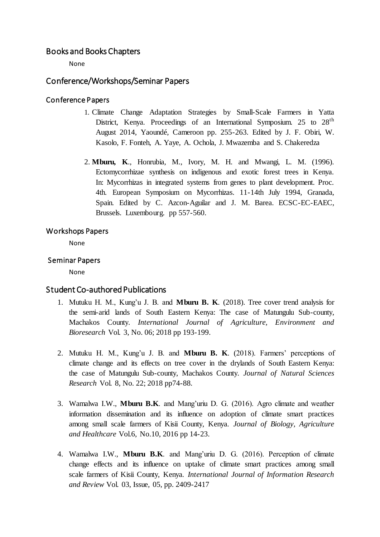## Books and Books Chapters

None

## Conference/Workshops/Seminar Papers

#### Conference Papers

- 1. Climate Change Adaptation Strategies by Small-Scale Farmers in Yatta District, Kenya. Proceedings of an International Symposium. 25 to 28<sup>th</sup> August 2014, Yaoundé, Cameroon pp. 255-263. Edited by J. F. Obiri, W. Kasolo, F. Fonteh, A. Yaye, A. Ochola, J. Mwazemba and S. Chakeredza
- 2. **Mburu, K**., Honrubia, M., Ivory, M. H. and Mwangi, L. M. (1996). Ectomycorrhizae synthesis on indigenous and exotic forest trees in Kenya. In: Mycorrhizas in integrated systems from genes to plant development. Proc. 4th. European Symposium on Mycorrhizas. 11-14th July 1994, Granada, Spain. Edited by C. Azcon-Aguilar and J. M. Barea. ECSC-EC-EAEC, Brussels. Luxembourg. pp 557-560.

#### Workshops Papers

None

#### Seminar Papers

None

#### Student Co-authored Publications

- 1. Mutuku H. M., Kung'u J. B. and **Mburu B. K**. (2018). Tree cover trend analysis for the semi-arid lands of South Eastern Kenya: The case of Matungulu Sub-county, Machakos County. *International Journal of Agriculture, Environment and Bioresearch* Vol. 3, No. 06; 2018 pp 193-199.
- 2. Mutuku H. M., Kung'u J. B. and **Mburu B. K**. (2018). Farmers' perceptions of climate change and its effects on tree cover in the drylands of South Eastern Kenya: the case of Matungulu Sub-county, Machakos County. *Journal of Natural Sciences Research* Vol. 8, No. 22; 2018 pp74-88.
- 3. Wamalwa I.W., **Mburu B.K**. and Mang'uriu D. G. (2016). Agro climate and weather information dissemination and its influence on adoption of climate smart practices among small scale farmers of Kisii County, Kenya. *Journal of Biology, Agriculture and Healthcare* Vol.6, No.10, 2016 pp 14-23.
- 4. Wamalwa I.W., **Mburu B.K**. and Mang'uriu D. G. (2016). Perception of climate change effects and its influence on uptake of climate smart practices among small scale farmers of Kisii County, Kenya. *International Journal of Information Research and Review* Vol. 03, Issue, 05, pp. 2409-2417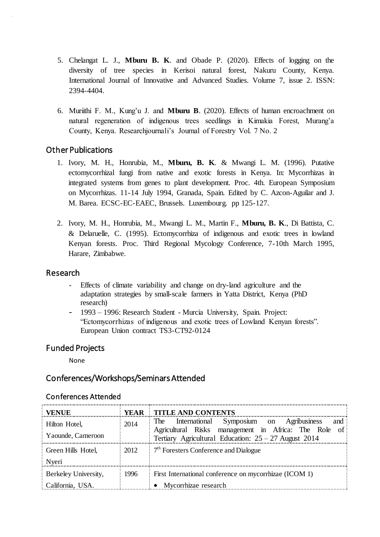- 5. Chelangat L. J., **Mburu B. K**. and Obade P. (2020). Effects of logging on the diversity of tree species in Kerisoi natural forest, Nakuru County, Kenya. International Journal of Innovative and Advanced Studies. Volume 7, issue 2. ISSN: 2394-4404.
- 6. Muriithi F. M., Kung'u J. and **Mburu B**. (2020). Effects of human encroachment on natural regeneration of indigenous trees seedlings in Kimakia Forest, Murang'a County, Kenya. Researchjournali's Journal of Forestry Vol. 7 No. 2

## Other Publications

- 1. Ivory, M. H., Honrubia, M., **Mburu, B. K**. & Mwangi L. M. (1996). Putative ectomycorrhizal fungi from native and exotic forests in Kenya. In: Mycorrhizas in integrated systems from genes to plant development. Proc. 4th. European Symposium on Mycorrhizas. 11-14 July 1994, Granada, Spain. Edited by C. Azcon-Aguilar and J. M. Barea. ECSC-EC-EAEC, Brussels. Luxembourg. pp 125-127.
- 2. Ivory, M. H., Honrubia, M., Mwangi L. M., Martin F., **Mburu, B. K**., Di Battista, C. & Delaruelle, C. (1995). Ectomycorrhiza of indigenous and exotic trees in lowland Kenyan forests. Proc. Third Regional Mycology Conference, 7-10th March 1995, Harare, Zimbabwe.

## Research

- Effects of climate variability and change on dry-land agriculture and the adaptation strategies by small-scale farmers in Yatta District, Kenya (PhD research)
- 1993 1996: Research Student Murcia University, Spain. Project: "Ectomycorrhizas of indigenous and exotic trees of Lowland Kenyan forests". European Union contract TS3-CT92-0124

## Funded Projects

None

## Conferences/Workshops/Seminars Attended

| VENUE                | YEAR | <b>TITLE AND CONTENTS</b>                                                                                      |  |  |
|----------------------|------|----------------------------------------------------------------------------------------------------------------|--|--|
| Hilton Hotel,        | 2014 | The International Symposium on Agribusiness<br>and                                                             |  |  |
| Yaounde, Cameroon    |      | Agricultural Risks management in Africa: The Role of<br>Tertiary Agricultural Education: $25 - 27$ August 2014 |  |  |
| Green Hills Hotel,   | 2012 | $7th$ Foresters Conference and Dialogue                                                                        |  |  |
| Nveri                |      |                                                                                                                |  |  |
| Berkeley University, | 1996 | First International conference on mycorrhizae (ICOM 1)                                                         |  |  |
| California, USA.     |      | • Mycorrhizae research                                                                                         |  |  |

## Conferences Attended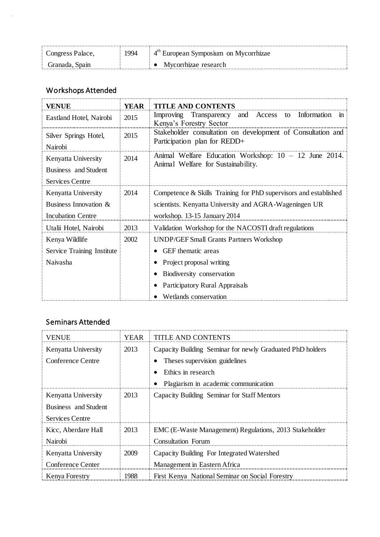| Congress Palace, | '994 | $4th$ European Symposium on Mycorrhizae |
|------------------|------|-----------------------------------------|
| Granada, Spain   |      | Mvcorrhizae research                    |

# Workshops Attended

| <b>VENUE</b>                     | <b>YEAR</b> | <b>TITLE AND CONTENTS</b>                                                                    |  |  |  |  |
|----------------------------------|-------------|----------------------------------------------------------------------------------------------|--|--|--|--|
| Eastland Hotel, Nairobi          | 2015        | Transparency<br>and Access<br>Improving<br>Information<br>to<br>m<br>Kenya's Forestry Sector |  |  |  |  |
| Silver Springs Hotel,<br>Nairobi | 2015        | Stakeholder consultation on development of Consultation and<br>Participation plan for REDD+  |  |  |  |  |
| Kenyatta University              | 2014        | Animal Welfare Education Workshop: $10 - 12$ June 2014.                                      |  |  |  |  |
| Business and Student             |             | Animal Welfare for Sustainability.                                                           |  |  |  |  |
| <b>Services Centre</b>           |             |                                                                                              |  |  |  |  |
| Kenyatta University              | 2014        | Competence & Skills Training for PhD supervisors and established                             |  |  |  |  |
| Business Innovation &            |             | scientists. Kenyatta University and AGRA-Wageningen UR                                       |  |  |  |  |
| <b>Incubation Centre</b>         |             | workshop. 13-15 January 2014                                                                 |  |  |  |  |
| Utalii Hotel, Nairobi            | 2013        | Validation Workshop for the NACOSTI draft regulations                                        |  |  |  |  |
| Kenya Wildlife                   | 2002        | <b>UNDP/GEF Small Grants Partners Workshop</b>                                               |  |  |  |  |
| Service Training Institute       |             | GEF thematic areas                                                                           |  |  |  |  |
| Naivasha                         |             | Project proposal writing                                                                     |  |  |  |  |
|                                  |             | Biodiversity conservation                                                                    |  |  |  |  |
|                                  |             | Participatory Rural Appraisals                                                               |  |  |  |  |
|                                  |             | Wetlands conservation                                                                        |  |  |  |  |

# Seminars Attended

| VENUE                  | YEAR | TITLE AND CONTENTS                                        |  |  |
|------------------------|------|-----------------------------------------------------------|--|--|
| Kenyatta University    | 2013 | Capacity Building Seminar for newly Graduated PhD holders |  |  |
| Conference Centre      |      | Theses supervision guidelines                             |  |  |
|                        |      | Ethics in research                                        |  |  |
|                        |      | Plagiarism in academic communication                      |  |  |
| Kenyatta University    | 2013 | Capacity Building Seminar for Staff Mentors               |  |  |
| Business and Student   |      |                                                           |  |  |
| <b>Services Centre</b> |      |                                                           |  |  |
| Kicc, Aberdare Hall    | 2013 | EMC (E-Waste Management) Regulations, 2013 Stakeholder    |  |  |
| Nairobi                |      | Consultation Forum                                        |  |  |
| Kenyatta University    | 2009 | Capacity Building For Integrated Watershed                |  |  |
| Conference Center      |      | Management in Eastern Africa                              |  |  |
| Kenya Forestry         | 1988 | First Kenya National Seminar on Social Forestry           |  |  |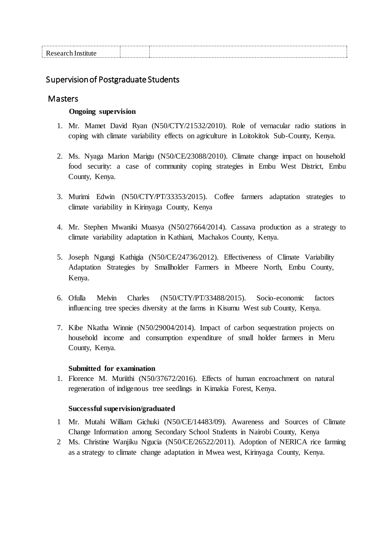## Supervision of Postgraduate Students

### Masters

#### **Ongoing supervision**

- 1. Mr. Mamet David Ryan (N50/CTY/21532/2010). Role of vernacular radio stations in coping with climate variability effects on agriculture in Loitokitok Sub-County, Kenya.
- 2. Ms. Nyaga Marion Marigu (N50/CE/23088/2010). Climate change impact on household food security: a case of community coping strategies in Embu West District, Embu County, Kenya.
- 3. Murimi Edwin (N50/CTY/PT/33353/2015). Coffee farmers adaptation strategies to climate variability in Kirinyaga County, Kenya
- 4. Mr. Stephen Mwaniki Muasya (N50/27664/2014). Cassava production as a strategy to climate variability adaptation in Kathiani, Machakos County, Kenya.
- 5. Joseph Ngungi Kathigia (N50/CE/24736/2012). Effectiveness of Climate Variability Adaptation Strategies by Smallholder Farmers in Mbeere North, Embu County, Kenya.
- 6. Ofulla Melvin Charles (N50/CTY/PT/33488/2015). Socio-economic factors influencing tree species diversity at the farms in Kisumu West sub County, Kenya.
- 7. Kibe Nkatha Winnie (N50/29004/2014). Impact of carbon sequestration projects on household income and consumption expenditure of small holder farmers in Meru County, Kenya.

#### **Submitted for examination**

1. Florence M. Muriithi (N50/37672/2016). Effects of human encroachment on natural regeneration of indigenous tree seedlings in Kimakia Forest, Kenya.

#### **Successful supervision/graduated**

- 1 Mr. Mutahi William Gichuki (N50/CE/14483/09). Awareness and Sources of Climate Change Information among Secondary School Students in Nairobi County, Kenya
- 2 Ms. Christine Wanjiku Ngucia (N50/CE/26522/2011). Adoption of NERICA rice farming as a strategy to climate change adaptation in Mwea west, Kirinyaga County, Kenya.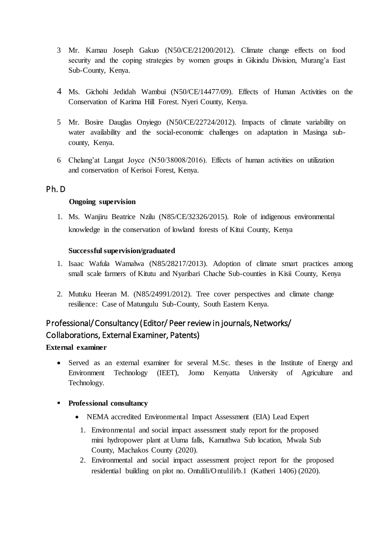- 3 Mr. Kamau Joseph Gakuo (N50/CE/21200/2012). Climate change effects on food security and the coping strategies by women groups in Gikindu Division, Murang'a East Sub-County, Kenya.
- 4 Ms. Gichohi Jedidah Wambui (N50/CE/14477/09). Effects of Human Activities on the Conservation of Karima Hill Forest. Nyeri County, Kenya.
- 5 Mr. Bosire Dauglas Onyiego (N50/CE/22724/2012). Impacts of climate variability on water availability and the social-economic challenges on adaptation in Masinga subcounty, Kenya.
- 6 Chelang'at Langat Joyce (N50/38008/2016). Effects of human activities on utilization and conservation of Kerisoi Forest, Kenya.

## Ph. D

#### **Ongoing supervision**

1. Ms. Wanjiru Beatrice Nzilu (N85/CE/32326/2015). Role of indigenous environmental knowledge in the conservation of lowland forests of Kitui County, Kenya

#### **Successful supervision/graduated**

- 1. Isaac Wafula Wamalwa (N85/28217/2013). Adoption of climate smart practices among small scale farmers of Kitutu and Nyaribari Chache Sub-counties in Kisii County, Kenya
- 2. Mutuku Heeran M. (N85/24991/2012). Tree cover perspectives and climate change resilience: Case of Matungulu Sub-County, South Eastern Kenya.

# Professional/ Consultancy (Editor/ Peer review in journals, Networks/ Collaborations, External Examiner, Patents)

## **External examiner**

 Served as an external examiner for several M.Sc. theses in the Institute of Energy and Environment Technology (IEET), Jomo Kenyatta University of Agriculture and Technology.

#### **Professional consultancy**

- NEMA accredited Environmental Impact Assessment (EIA) Lead Expert
	- 1. Environmental and social impact assessment study report for the proposed mini hydropower plant at Uuma falls, Kamuthwa Sub location, Mwala Sub County, Machakos County (2020).
	- 2. Environmental and social impact assessment project report for the proposed residential building on plot no. Ontulili/Ontulili/b.1 (Katheri 1406) (2020).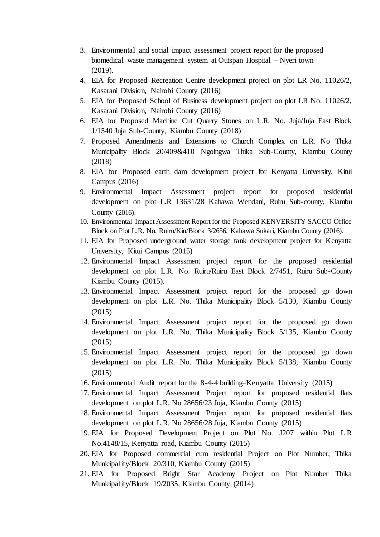- 3. Environmental and social impact assessment project report for the proposed biomedical waste management system at Outspan Hospital – Nyeri town (2019).
- 4. EIA for Proposed Recreation Centre development project on plot LR No. 11026/2, Kasarani Division, Nairobi County (2016)
- 5. EIA for Proposed School of Business development project on plot LR No. 11026/2, Kasarani Division, Nairobi County (2016)
- 6. EIA for Proposed Machine Cut Quarry Stones on L.R. No. Juja/Juja East Block 1/1540 Juja Sub-County, Kiambu County (2018)
- 7. Proposed Amendments and Extensions to Church Complex on L.R. No Thika Municipality Block 20/409&410 Ngoingwa Thika Sub-County, Kiambu County (2018)
- 8. EIA for Proposed earth dam development project for Kenyatta University, Kitui Campus (2016)
- 9. Environmental Impact Assessment project report for proposed residential development on plot L.R 13631/28 Kahawa Wendani, Ruiru Sub-county, Kiambu County (2016).
- 10. Environmental Impact Assessment Report for the Proposed KENVERSITY SACCO Office Block on Plot L.R. No. Ruiru/Kiu/Block 3/2656, Kahawa Sukari, Kiambu County (2016).
- 11. EIA for Proposed underground water storage tank development project for Kenyatta University, Kitui Campus (2015)
- 12. Environmental Impact Assessment project report for the proposed residential development on plot L.R. No. Ruiru/Ruiru East Block 2/7451, Ruiru Sub-County Kiambu County (2015).
- 13. Environmental Impact Assessment project report for the proposed go down development on plot L.R. No. Thika Municipality Block 5/130, Kiambu County (2015)
- 14. Environmental Impact Assessment project report for the proposed go down development on plot L.R. No. Thika Municipality Block 5/135, Kiambu County (2015)
- 15. Environmental Impact Assessment project report for the proposed go down development on plot L.R. No. Thika Municipality Block 5/138, Kiambu County (2015)
- 16. Environmental Audit report for the 8-4-4 building–Kenyatta University (2015)
- 17. Environmental Impact Assessment Project report for proposed residential flats development on plot L.R. No 28656/23 Juja, Kiambu County (2015)
- 18. Environmental Impact Assessment Project report for proposed residential flats development on plot L.R. No 28656/28 Juja, Kiambu County (2015)
- 19. EIA for Proposed Development Project on Plot No. J207 within Plot L.R No.4148/15, Kenyatta road, Kiambu County (2015)
- 20. EIA for Proposed commercial cum residential Project on Plot Number, Thika Municipality/Block 20/310, Kiambu County (2015)
- 21. EIA for Proposed Bright Star Academy Project on Plot Number Thika Municipality/Block 19/2035, Kiambu County (2014)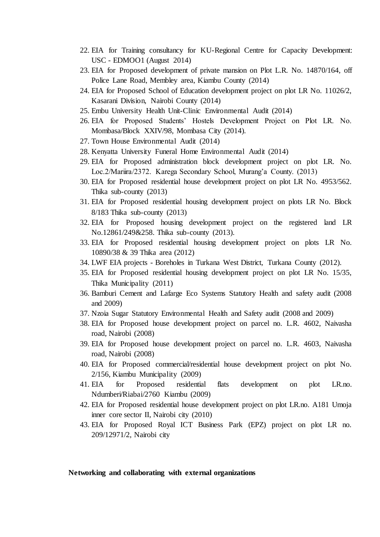- 22. EIA for Training consultancy for KU-Regional Centre for Capacity Development: USC - EDMOO1 (August 2014)
- 23. EIA for Proposed development of private mansion on Plot L.R. No. 14870/164, off Police Lane Road, Membley area, Kiambu County (2014)
- 24. EIA for Proposed School of Education development project on plot LR No. 11026/2, Kasarani Division, Nairobi County (2014)
- 25. Embu University Health Unit-Clinic Environmental Audit (2014)
- 26. EIA for Proposed Students' Hostels Development Project on Plot LR. No. Mombasa/Block XXIV/98, Mombasa City (2014).
- 27. Town House Environmental Audit (2014)
- 28. Kenyatta University Funeral Home Environmental Audit (2014)
- 29. EIA for Proposed administration block development project on plot LR. No. Loc.2/Mariira/2372. Karega Secondary School, Murang'a County. (2013)
- 30. EIA for Proposed residential house development project on plot LR No. 4953/562. Thika sub-county (2013)
- 31. EIA for Proposed residential housing development project on plots LR No. Block 8/183 Thika sub-county (2013)
- 32. EIA for Proposed housing development project on the registered land LR No.12861/249&258. Thika sub-county (2013).
- 33. EIA for Proposed residential housing development project on plots LR No. 10890/38 & 39 Thika area (2012)
- 34. LWF EIA projects Boreholes in Turkana West District, Turkana County (2012).
- 35. EIA for Proposed residential housing development project on plot LR No. 15/35, Thika Municipality (2011)
- 36. Bamburi Cement and Lafarge Eco Systems Statutory Health and safety audit (2008 and 2009)
- 37. Nzoia Sugar Statutory Environmental Health and Safety audit (2008 and 2009)
- 38. EIA for Proposed house development project on parcel no. L.R. 4602, Naivasha road, Nairobi (2008)
- 39. EIA for Proposed house development project on parcel no. L.R. 4603, Naivasha road, Nairobi (2008)
- 40. EIA for Proposed commercial/residential house development project on plot No. 2/156, Kiambu Municipality (2009)
- 41. EIA for Proposed residential flats development on plot LR.no. Ndumberi/Riabai/2760 Kiambu (2009)
- 42. EIA for Proposed residential house development project on plot LR.no. A181 Umoja inner core sector II, Nairobi city (2010)
- 43. EIA for Proposed Royal ICT Business Park (EPZ) project on plot LR no. 209/12971/2, Nairobi city

#### **Networking and collaborating with external organizations**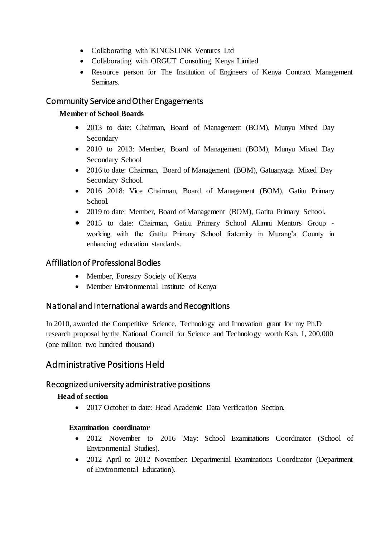- Collaborating with KINGSLINK Ventures Ltd
- Collaborating with ORGUT Consulting Kenya Limited
- Resource person for The Institution of Engineers of Kenya Contract Management Seminars.

## Community Service and Other Engagements

### **Member of School Boards**

- 2013 to date: Chairman, Board of Management (BOM), Munyu Mixed Day Secondary
- 2010 to 2013: Member, Board of Management (BOM), Munyu Mixed Day Secondary School
- 2016 to date: Chairman, Board of Management (BOM), Gatuanyaga Mixed Day Secondary School.
- 2016 2018: Vice Chairman, Board of Management (BOM), Gatitu Primary School.
- 2019 to date: Member, Board of Management (BOM), Gatitu Primary School.
- 2015 to date: Chairman, Gatitu Primary School Alumni Mentors Group working with the Gatitu Primary School fraternity in Murang'a County in enhancing education standards.

## Affiliation of Professional Bodies

- Member, Forestry Society of Kenya
- Member Environmental Institute of Kenya

## National and International awards and Recognitions

In 2010, awarded the Competitive Science, Technology and Innovation grant for my Ph.D research proposal by the National Council for Science and Technology worth Ksh. 1, 200,000 (one million two hundred thousand)

# Administrative Positions Held

## Recognized university administrative positions

#### **Head of section**

• 2017 October to date: Head Academic Data Verification Section.

#### **Examination coordinator**

- 2012 November to 2016 May: School Examinations Coordinator (School of Environmental Studies).
- 2012 April to 2012 November: Departmental Examinations Coordinator (Department of Environmental Education).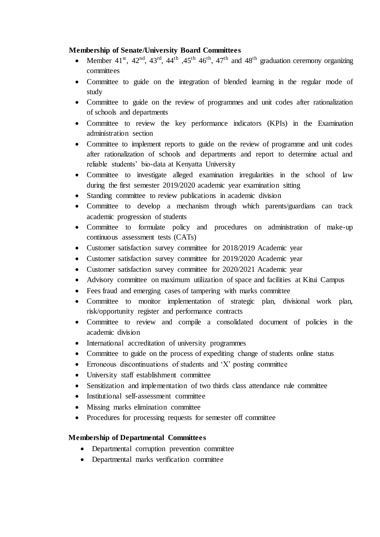#### **Membership of Senate/University Board Committees**

- Member  $41<sup>st</sup>$ ,  $42<sup>nd</sup>$ ,  $43<sup>rd</sup>$ ,  $44<sup>th</sup>$ ,  $45<sup>th</sup>$ ,  $47<sup>th</sup>$  and  $48<sup>th</sup>$  graduation ceremony organizing committees
- Committee to guide on the integration of blended learning in the regular mode of study
- Committee to guide on the review of programmes and unit codes after rationalization of schools and departments
- Committee to review the key performance indicators (KPIs) in the Examination administration section
- Committee to implement reports to guide on the review of programme and unit codes after rationalization of schools and departments and report to determine actual and reliable students' bio-data at Kenyatta University
- Committee to investigate alleged examination irregularities in the school of law during the first semester 2019/2020 academic year examination sitting
- Standing committee to review publications in academic division
- Committee to develop a mechanism through which parents/guardians can track academic progression of students
- Committee to formulate policy and procedures on administration of make-up continuous assessment tests (CATs)
- Customer satisfaction survey committee for 2018/2019 Academic year
- Customer satisfaction survey committee for 2019/2020 Academic year
- Customer satisfaction survey committee for 2020/2021 Academic year
- Advisory committee on maximum utilization of space and facilities at Kitui Campus
- Fees fraud and emerging cases of tampering with marks committee
- Committee to monitor implementation of strategic plan, divisional work plan, risk/opportunity register and performance contracts
- Committee to review and compile a consolidated document of policies in the academic division
- International accreditation of university programmes
- Committee to guide on the process of expediting change of students online status
- Erroneous discontinuations of students and 'X' posting committee
- University staff establishment committee
- Sensitization and implementation of two thirds class attendance rule committee
- Institutional self-assessment committee
- Missing marks elimination committee
- Procedures for processing requests for semester off committee

#### **Membership of Departmental Committees**

- Departmental corruption prevention committee
- Departmental marks verification committee